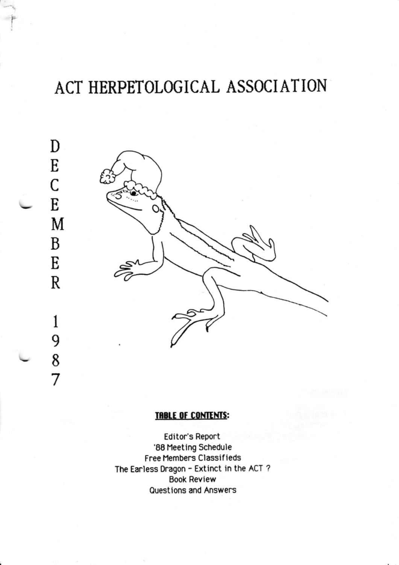# ACT HERPETOLOGICAL ASSOCIATION



#### **TABLE OF CONTENTS:**

Editor's Report '88 Meeting Schedule Free Members Classifieds The Earless Dragon - Extinct in the ACT? **Book Review** Questions and Answers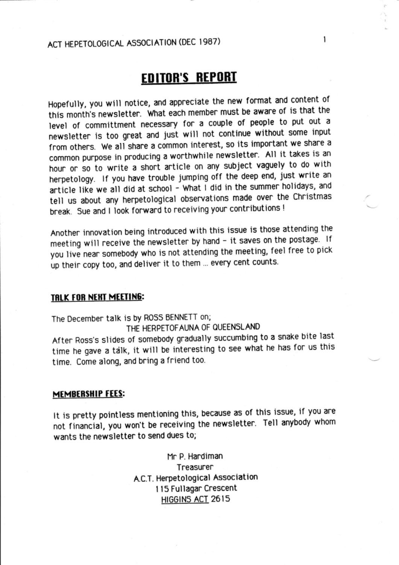### ACT HEPETOLOGICAL ASSOCIATION (DEC I987)

## **EDITOR'S REPORT**

Hopefully, you will notice, and appreciate the new format and content of this month's newsletter. what each member must be aware of is that the level of committment necessary for a couple of people to put out <sup>a</sup> newsletter is too great and just will not continue without some input from others. We all share a common interest, so its important we share a common purpose in producing a worthwhile newsletter. All it takes is an hour or so to write a short article on any subject vaguely to do with herpetology. If you have trouble jumping off the deep end, just write an article like we all did at school - What I did in the summer holidays, and tell us about any herpetological observations made over the Christmas break. Sue and I look forward to receiving your contributions !

Another innovation being introduced with this issue is those attending the meeting will receive the newsletter by hand - it saves on the postage. If you live near somebody who is not attending the meeting, feel free to pick up their copy too, and deliver it to them ... every cent counts.

#### TRLK FOR NEXT MEETING:

The December talk is by ROSS BENNETT on; THE HERPETOFAUNA OF OUEENSLAND After Ross's slides of somebody gradually succumbing to a snake bite last time he gave a talk, it will be interesting to see what he has for us this time. Come along, and bring a friend too.

#### MEMBERSHIP FEES:

It is pretty pointless mentioning this, because as of this issue, if you are not financial, you won't be receiving the newsletter. Tell anybody whom wants the newsletter to send dues to;

> Hr P. Hardiman Treasurer A.C.T. Herpetological Association I I5 Fullagar Crescent H|GG|NS ACT 2615

1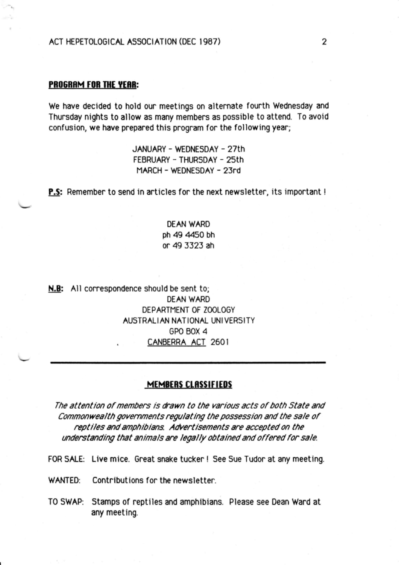#### PROGRAM FOR THE YEAR:

We have decided to hold our meetings on alternate fourth Wednesday and Thursday nights to allow as many members as possible to attend. To avoid confusion, we have prepared this program for the following year;

> JANUARY - WEDNESDAY - 27th FEBRUARY - THURSDAY - 25th MARCH - WEDNESDAY - 23rd

**P.S:** Remember to send in articles for the next newsletter, its important !

DEAN WARD ph 49 4450 bh or 49 5323 ah

N.B: All correspondence should be sent to; DEAN WARD DEPARTMENT OF ZOOLOGY AUSTRALI AN NAT IONAL UNI VERSITY GPO BOX 4 CANBERRA ACT 2601

#### MEMBERS CLASSIFIEDS

The attention of members is drawn to the various acts of both State and Commonwealth governments regulating the possession and the sale of reptiles and amphibians. Advertisements are accepted on the understanding that animals are legally obtained and offered for sale.

FOR SALE: Live mice. Great snake tucker ! See Sue Tudor at any meeting.

WANTED: Contributions for the newsletter.

TO SWAP: Stamps of reptiles and amphlbians. Please see Dean Ward at any meeting.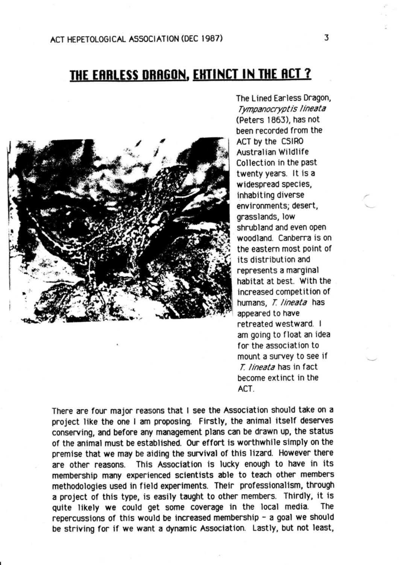# THE EARLESS DRAGON, EXTINCT IN THE ACT?



The Lined Earless Dragon, Tympanocryptis lineata (Peters 1863), has not been recorded from the ACT by the CSIR0 Australian Wildlife Collection in the Past twenty years. lt is <sup>a</sup> widespread species, inhabiting diverse environments; desert, grasslands, low shrubland and even open woodland. Canberra is on the eastern most point of its distribution and represents a marginal habitat at best. With the increased competition of humans, T. lineata has appeared to have retreated westward. <sup>I</sup> am going to f loat an idea for the association to mount a survey to see if T. lineata has in fact become extinct in the ACT.

There are four major reasons that I see the Association should take on <sup>a</sup> project like the one I am proposing. Firstly, the animal itself deserves conserving, and before any management plans can be drawn up, the status of the animal must be established. Our effort is worthwhile simply on the premise that we may be aiding the survival of this lizard. However there are other reasons. This Association is lucky enough to have in its membership many experienced scientists able to teach other members methodologies used in field experiments. Their professionalism, through <sup>a</sup>project of this type, is easily taught to other members. Thirdly, it is quite likely we could get some coverage in the local media. The repercussions of this would be increased membership - a goal we should be striving for if we want a dynamic Association. Lastly, but not least,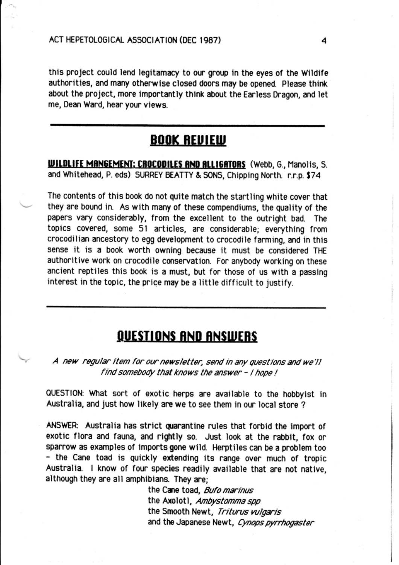this project could lend legitamacy to our group in the eyes of the Wildife authorities, and many otherwise closed doors may be opened. Please think about the project, more importantly think about the Earless Dragon, and let me, Dean Ward, hear your views.

### BOOK REVIEW

WILDLIFE MANGEMENT: CROCODILES AND ALLIGATORS (Webb, G., Manolis, S. and Whitehead, P. eds) SURREY BEATTY & SONS, Chipping North. r.r.p. \$74

The contents of this book do not quite match the startling white cover that they are bound in. As with many of these compendiums, the quality of the papers vary considerably, from the excellent to the outright bad. The topics covered, some 5l articles, are considerable; everything from crocodilian ancestory to egg development to crocodile farming, and in this sense it is a book worth owning because it must be considered THE authoritive work on crocodile conservation. For anybody working on these ancient reptiles this book is a must, but for those of us with a passing interest in the topic, the price may be a little difficult to justify.

### QUESTIONS AND ANSWERS

A new regular item for our newsletter, send in any questions and we'll find somebody that knows the answer - I hope !

QUESTION: What sort of exotic herps are available to the hobbyist in Australia, and just how likely are we to see them in our local store ?

ANSWER: Australia has strict quarantine rules that forbid the import of exotic flora and fauna, and rightly so. Just look at the rabbit, fox or sparrow as examples of imports gone wild. Herptiles can be a problem too - the Cane toad is quickly extending its range over much of tropic Australia. I know of four species readily available that are not native, although they are all amphibians. They are;

> the Cane toad, Bufo marinus the Axolotl, Ambystomma spp the Smooth Newt, Triturus vulgaris and the Japanese Newt, Cynops pyrrhogaster